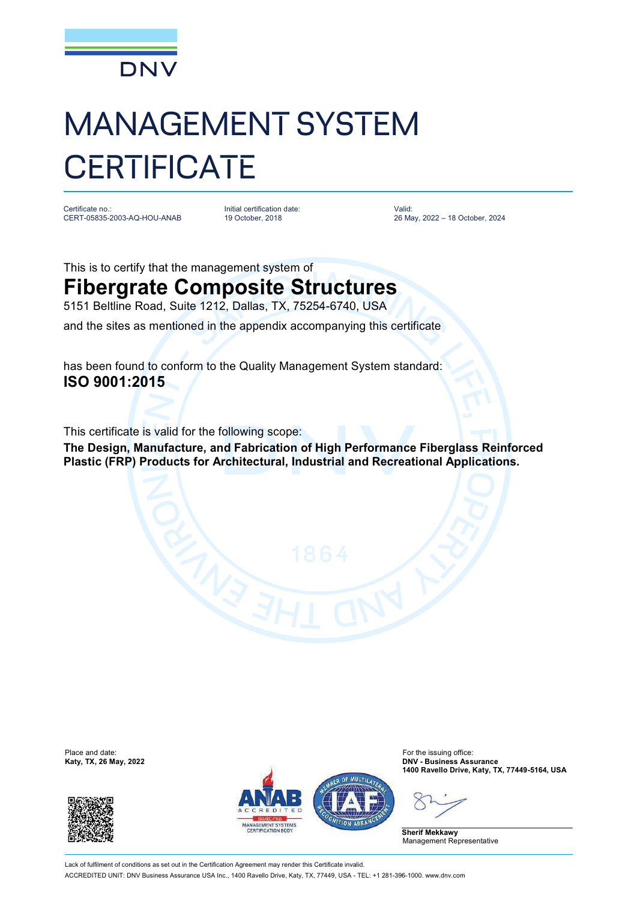

## MANAGEMENT SYSTEM **CERTIFICATE**

Certificate no.: CERT-05835-2003-AQ-HOU-ANAB

Initial certification date: 19 October, 2018

Valid: 26 May, 2022 – 18 October, 2024

This is to certify that the management system of **Fibergrate Composite Structures**  5151 Beltline Road, Suite 1212, Dallas, TX, 75254-6740, USA

and the sites as mentioned in the appendix accompanying this certificate

has been found to conform to the Quality Management System standard: **ISO 9001:2015**

This certificate is valid for the following scope:

**The Design, Manufacture, and Fabrication of High Performance Fiberglass Reinforced Plastic (FRP) Products for Architectural, Industrial and Recreational Applications.**

Place and date:<br>Katy, TX, 26 May, 2022





For the issuing office:<br>**DNV - Business Assurance 1400 Ravello Drive, Katy, TX, 77449-5164, USA**

**Sherif Mekkawy** Management Representative